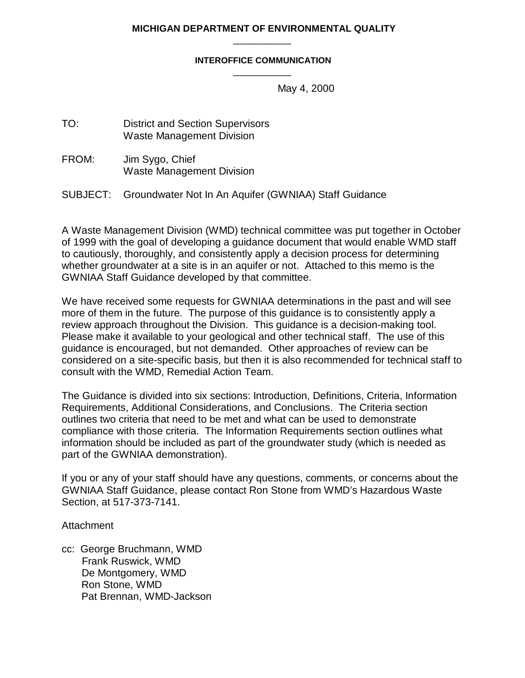#### **MICHIGAN DEPARTMENT OF ENVIRONMENTAL QUALITY** \_\_\_\_\_\_\_\_\_\_\_

#### **INTEROFFICE COMMUNICATION** \_\_\_\_\_\_\_\_\_\_\_

May 4, 2000

TO: District and Section Supervisors Waste Management Division

FROM: Jim Sygo, Chief Waste Management Division

SUBJECT: Groundwater Not In An Aquifer (GWNIAA) Staff Guidance

A Waste Management Division (WMD) technical committee was put together in October of 1999 with the goal of developing a guidance document that would enable WMD staff to cautiously, thoroughly, and consistently apply a decision process for determining whether groundwater at a site is in an aquifer or not. Attached to this memo is the GWNIAA Staff Guidance developed by that committee.

We have received some requests for GWNIAA determinations in the past and will see more of them in the future. The purpose of this guidance is to consistently apply a review approach throughout the Division. This guidance is a decision-making tool. Please make it available to your geological and other technical staff. The use of this guidance is encouraged, but not demanded. Other approaches of review can be considered on a site-specific basis, but then it is also recommended for technical staff to consult with the WMD, Remedial Action Team.

The Guidance is divided into six sections: Introduction, Definitions, Criteria, Information Requirements, Additional Considerations, and Conclusions. The Criteria section outlines two criteria that need to be met and what can be used to demonstrate compliance with those criteria. The Information Requirements section outlines what information should be included as part of the groundwater study (which is needed as part of the GWNIAA demonstration).

If you or any of your staff should have any questions, comments, or concerns about the GWNIAA Staff Guidance, please contact Ron Stone from WMD's Hazardous Waste Section, at 517-373-7141.

### **Attachment**

cc: George Bruchmann, WMD Frank Ruswick, WMD De Montgomery, WMD Ron Stone, WMD Pat Brennan, WMD-Jackson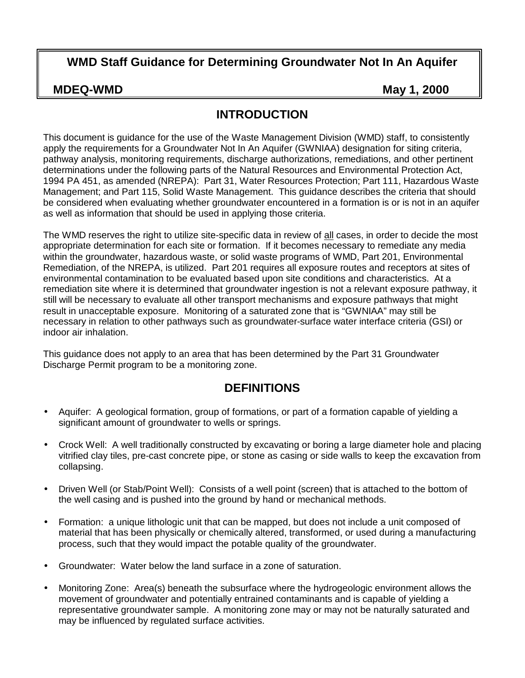## **WMD Staff Guidance for Determining Groundwater Not In An Aquifer**

**MDEQ-WMD** May 1, 2000

## **INTRODUCTION**

This document is guidance for the use of the Waste Management Division (WMD) staff, to consistently apply the requirements for a Groundwater Not In An Aquifer (GWNIAA) designation for siting criteria, pathway analysis, monitoring requirements, discharge authorizations, remediations, and other pertinent determinations under the following parts of the Natural Resources and Environmental Protection Act, 1994 PA 451, as amended (NREPA): Part 31, Water Resources Protection; Part 111, Hazardous Waste Management; and Part 115, Solid Waste Management. This guidance describes the criteria that should be considered when evaluating whether groundwater encountered in a formation is or is not in an aquifer as well as information that should be used in applying those criteria.

The WMD reserves the right to utilize site-specific data in review of all cases, in order to decide the most appropriate determination for each site or formation. If it becomes necessary to remediate any media within the groundwater, hazardous waste, or solid waste programs of WMD, Part 201, Environmental Remediation, of the NREPA, is utilized. Part 201 requires all exposure routes and receptors at sites of environmental contamination to be evaluated based upon site conditions and characteristics. At a remediation site where it is determined that groundwater ingestion is not a relevant exposure pathway, it still will be necessary to evaluate all other transport mechanisms and exposure pathways that might result in unacceptable exposure. Monitoring of a saturated zone that is "GWNIAA" may still be necessary in relation to other pathways such as groundwater-surface water interface criteria (GSI) or indoor air inhalation.

This guidance does not apply to an area that has been determined by the Part 31 Groundwater Discharge Permit program to be a monitoring zone.

## **DEFINITIONS**

- Aquifer: A geological formation, group of formations, or part of a formation capable of yielding a significant amount of groundwater to wells or springs.
- Crock Well: A well traditionally constructed by excavating or boring a large diameter hole and placing vitrified clay tiles, pre-cast concrete pipe, or stone as casing or side walls to keep the excavation from collapsing.
- Driven Well (or Stab/Point Well): Consists of a well point (screen) that is attached to the bottom of the well casing and is pushed into the ground by hand or mechanical methods.
- Formation: a unique lithologic unit that can be mapped, but does not include a unit composed of material that has been physically or chemically altered, transformed, or used during a manufacturing process, such that they would impact the potable quality of the groundwater.
- Groundwater: Water below the land surface in a zone of saturation.
- Monitoring Zone: Area(s) beneath the subsurface where the hydrogeologic environment allows the movement of groundwater and potentially entrained contaminants and is capable of yielding a representative groundwater sample. A monitoring zone may or may not be naturally saturated and may be influenced by regulated surface activities.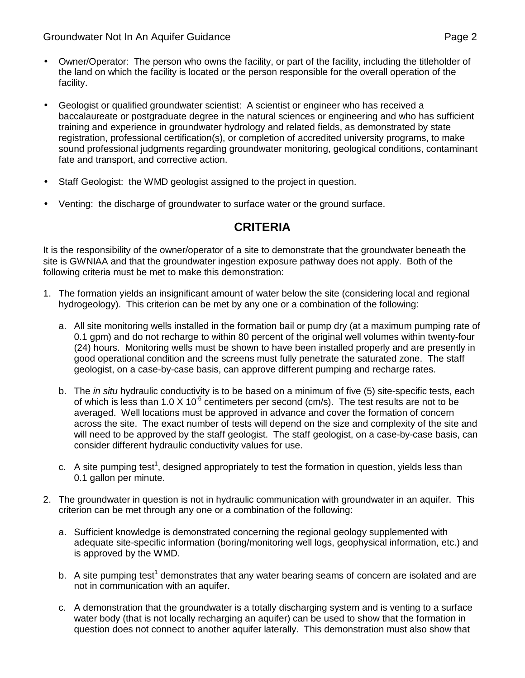Groundwater Not In An Aquifer Guidance **Page 2** Page 2

- Owner/Operator: The person who owns the facility, or part of the facility, including the titleholder of the land on which the facility is located or the person responsible for the overall operation of the facility.
- Geologist or qualified groundwater scientist: A scientist or engineer who has received a baccalaureate or postgraduate degree in the natural sciences or engineering and who has sufficient training and experience in groundwater hydrology and related fields, as demonstrated by state registration, professional certification(s), or completion of accredited university programs, to make sound professional judgments regarding groundwater monitoring, geological conditions, contaminant fate and transport, and corrective action.
- Staff Geologist: the WMD geologist assigned to the project in question.
- Venting: the discharge of groundwater to surface water or the ground surface.

# **CRITERIA**

It is the responsibility of the owner/operator of a site to demonstrate that the groundwater beneath the site is GWNIAA and that the groundwater ingestion exposure pathway does not apply. Both of the following criteria must be met to make this demonstration:

- 1. The formation yields an insignificant amount of water below the site (considering local and regional hydrogeology). This criterion can be met by any one or a combination of the following:
	- a. All site monitoring wells installed in the formation bail or pump dry (at a maximum pumping rate of 0.1 gpm) and do not recharge to within 80 percent of the original well volumes within twenty-four (24) hours. Monitoring wells must be shown to have been installed properly and are presently in good operational condition and the screens must fully penetrate the saturated zone. The staff geologist, on a case-by-case basis, can approve different pumping and recharge rates.
	- b. The *in situ* hydraulic conductivity is to be based on a minimum of five (5) site-specific tests, each of which is less than 1.0 X 10 $<sup>6</sup>$  centimeters per second (cm/s). The test results are not to be</sup> averaged. Well locations must be approved in advance and cover the formation of concern across the site. The exact number of tests will depend on the size and complexity of the site and will need to be approved by the staff geologist. The staff geologist, on a case-by-case basis, can consider different hydraulic conductivity values for use.
	- c. A site pumping test<sup>1</sup>, designed appropriately to test the formation in question, yields less than 0.1 gallon per minute.
- 2. The groundwater in question is not in hydraulic communication with groundwater in an aquifer. This criterion can be met through any one or a combination of the following:
	- a. Sufficient knowledge is demonstrated concerning the regional geology supplemented with adequate site-specific information (boring/monitoring well logs, geophysical information, etc.) and is approved by the WMD.
	- b. A site pumping test<sup>1</sup> demonstrates that any water bearing seams of concern are isolated and are not in communication with an aquifer.
	- c. A demonstration that the groundwater is a totally discharging system and is venting to a surface water body (that is not locally recharging an aquifer) can be used to show that the formation in question does not connect to another aquifer laterally. This demonstration must also show that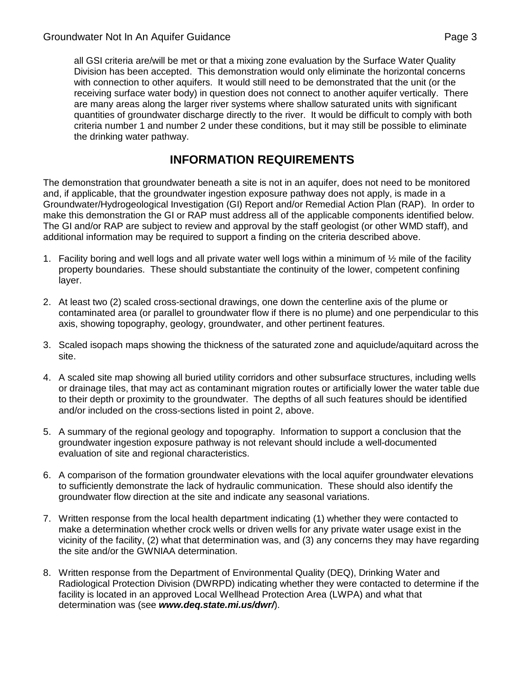all GSI criteria are/will be met or that a mixing zone evaluation by the Surface Water Quality Division has been accepted. This demonstration would only eliminate the horizontal concerns with connection to other aquifers. It would still need to be demonstrated that the unit (or the receiving surface water body) in question does not connect to another aquifer vertically. There are many areas along the larger river systems where shallow saturated units with significant quantities of groundwater discharge directly to the river. It would be difficult to comply with both criteria number 1 and number 2 under these conditions, but it may still be possible to eliminate the drinking water pathway.

# **INFORMATION REQUIREMENTS**

The demonstration that groundwater beneath a site is not in an aquifer, does not need to be monitored and, if applicable, that the groundwater ingestion exposure pathway does not apply, is made in a Groundwater/Hydrogeological Investigation (GI) Report and/or Remedial Action Plan (RAP). In order to make this demonstration the GI or RAP must address all of the applicable components identified below. The GI and/or RAP are subject to review and approval by the staff geologist (or other WMD staff), and additional information may be required to support a finding on the criteria described above.

- 1. Facility boring and well logs and all private water well logs within a minimum of  $\frac{1}{2}$  mile of the facility property boundaries. These should substantiate the continuity of the lower, competent confining layer.
- 2. At least two (2) scaled cross-sectional drawings, one down the centerline axis of the plume or contaminated area (or parallel to groundwater flow if there is no plume) and one perpendicular to this axis, showing topography, geology, groundwater, and other pertinent features.
- 3. Scaled isopach maps showing the thickness of the saturated zone and aquiclude/aquitard across the site.
- 4. A scaled site map showing all buried utility corridors and other subsurface structures, including wells or drainage tiles, that may act as contaminant migration routes or artificially lower the water table due to their depth or proximity to the groundwater. The depths of all such features should be identified and/or included on the cross-sections listed in point 2, above.
- 5. A summary of the regional geology and topography. Information to support a conclusion that the groundwater ingestion exposure pathway is not relevant should include a well-documented evaluation of site and regional characteristics.
- 6. A comparison of the formation groundwater elevations with the local aquifer groundwater elevations to sufficiently demonstrate the lack of hydraulic communication. These should also identify the groundwater flow direction at the site and indicate any seasonal variations.
- 7. Written response from the local health department indicating (1) whether they were contacted to make a determination whether crock wells or driven wells for any private water usage exist in the vicinity of the facility, (2) what that determination was, and (3) any concerns they may have regarding the site and/or the GWNIAA determination.
- 8. Written response from the Department of Environmental Quality (DEQ), Drinking Water and Radiological Protection Division (DWRPD) indicating whether they were contacted to determine if the facility is located in an approved Local Wellhead Protection Area (LWPA) and what that determination was (see *www.deq.state.mi.us/dwr/*).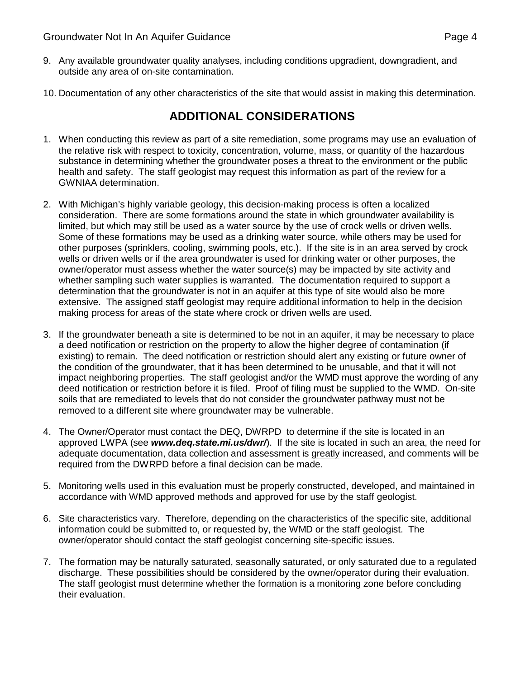- 9. Any available groundwater quality analyses, including conditions upgradient, downgradient, and outside any area of on-site contamination.
- 10. Documentation of any other characteristics of the site that would assist in making this determination.

# **ADDITIONAL CONSIDERATIONS**

- 1. When conducting this review as part of a site remediation, some programs may use an evaluation of the relative risk with respect to toxicity, concentration, volume, mass, or quantity of the hazardous substance in determining whether the groundwater poses a threat to the environment or the public health and safety. The staff geologist may request this information as part of the review for a GWNIAA determination.
- 2. With Michigan's highly variable geology, this decision-making process is often a localized consideration. There are some formations around the state in which groundwater availability is limited, but which may still be used as a water source by the use of crock wells or driven wells. Some of these formations may be used as a drinking water source, while others may be used for other purposes (sprinklers, cooling, swimming pools, etc.). If the site is in an area served by crock wells or driven wells or if the area groundwater is used for drinking water or other purposes, the owner/operator must assess whether the water source(s) may be impacted by site activity and whether sampling such water supplies is warranted. The documentation required to support a determination that the groundwater is not in an aquifer at this type of site would also be more extensive. The assigned staff geologist may require additional information to help in the decision making process for areas of the state where crock or driven wells are used.
- 3. If the groundwater beneath a site is determined to be not in an aquifer, it may be necessary to place a deed notification or restriction on the property to allow the higher degree of contamination (if existing) to remain. The deed notification or restriction should alert any existing or future owner of the condition of the groundwater, that it has been determined to be unusable, and that it will not impact neighboring properties. The staff geologist and/or the WMD must approve the wording of any deed notification or restriction before it is filed. Proof of filing must be supplied to the WMD. On-site soils that are remediated to levels that do not consider the groundwater pathway must not be removed to a different site where groundwater may be vulnerable.
- 4. The Owner/Operator must contact the DEQ, DWRPD to determine if the site is located in an approved LWPA (see *www.deq.state.mi.us/dwr/*). If the site is located in such an area, the need for adequate documentation, data collection and assessment is greatly increased, and comments will be required from the DWRPD before a final decision can be made.
- 5. Monitoring wells used in this evaluation must be properly constructed, developed, and maintained in accordance with WMD approved methods and approved for use by the staff geologist.
- 6. Site characteristics vary. Therefore, depending on the characteristics of the specific site, additional information could be submitted to, or requested by, the WMD or the staff geologist. The owner/operator should contact the staff geologist concerning site-specific issues.
- 7. The formation may be naturally saturated, seasonally saturated, or only saturated due to a regulated discharge. These possibilities should be considered by the owner/operator during their evaluation. The staff geologist must determine whether the formation is a monitoring zone before concluding their evaluation.